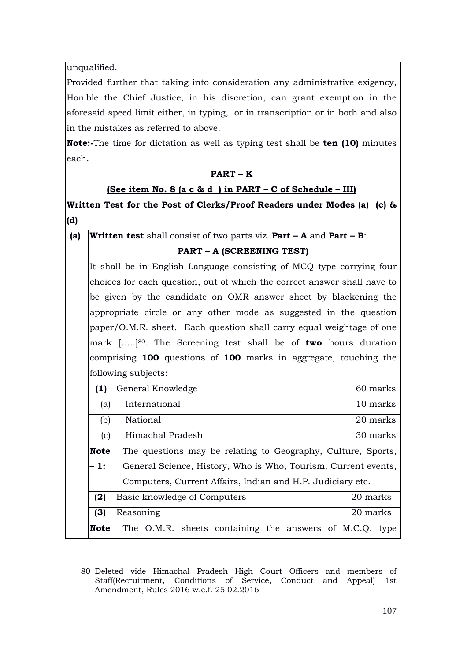unqualified.

Provided further that taking into consideration any administrative exigency, Hon'ble the Chief Justice, in his discretion, can grant exemption in the aforesaid speed limit either, in typing, or in transcription or in both and also in the mistakes as referred to above.

**Note:-**The time for dictation as well as typing test shall be **ten (10)** minutes each.

|     | $PART-K$                                                                                                                                         |                                                                                           |          |  |  |  |  |
|-----|--------------------------------------------------------------------------------------------------------------------------------------------------|-------------------------------------------------------------------------------------------|----------|--|--|--|--|
|     | (See item No. 8 (a c & d ) in PART - C of Schedule - III)                                                                                        |                                                                                           |          |  |  |  |  |
|     | Written Test for the Post of Clerks/Proof Readers under Modes (a) (c) &                                                                          |                                                                                           |          |  |  |  |  |
| (d) |                                                                                                                                                  |                                                                                           |          |  |  |  |  |
| (a) |                                                                                                                                                  | <b>Written test</b> shall consist of two parts viz. <b>Part - A</b> and <b>Part - B</b> : |          |  |  |  |  |
|     | <b>PART - A (SCREENING TEST)</b>                                                                                                                 |                                                                                           |          |  |  |  |  |
|     | It shall be in English Language consisting of MCQ type carrying four<br>choices for each question, out of which the correct answer shall have to |                                                                                           |          |  |  |  |  |
|     |                                                                                                                                                  |                                                                                           |          |  |  |  |  |
|     | be given by the candidate on OMR answer sheet by blackening the                                                                                  |                                                                                           |          |  |  |  |  |
|     | appropriate circle or any other mode as suggested in the question                                                                                |                                                                                           |          |  |  |  |  |
|     | paper/O.M.R. sheet. Each question shall carry equal weightage of one                                                                             |                                                                                           |          |  |  |  |  |
|     | mark $[]^{80}$ . The Screening test shall be of <b>two</b> hours duration                                                                        |                                                                                           |          |  |  |  |  |
|     | comprising 100 questions of 100 marks in aggregate, touching the<br>following subjects:                                                          |                                                                                           |          |  |  |  |  |
|     |                                                                                                                                                  |                                                                                           |          |  |  |  |  |
|     | (1)                                                                                                                                              | General Knowledge                                                                         | 60 marks |  |  |  |  |
|     | (a)                                                                                                                                              | International                                                                             | 10 marks |  |  |  |  |
|     | (b)                                                                                                                                              | National                                                                                  | 20 marks |  |  |  |  |
|     | (c)                                                                                                                                              | Himachal Pradesh                                                                          | 30 marks |  |  |  |  |
|     | <b>Note</b>                                                                                                                                      | The questions may be relating to Geography, Culture, Sports,                              |          |  |  |  |  |
|     | $-1:$                                                                                                                                            | General Science, History, Who is Who, Tourism, Current events,                            |          |  |  |  |  |
|     | Computers, Current Affairs, Indian and H.P. Judiciary etc.                                                                                       |                                                                                           |          |  |  |  |  |
|     | (2)                                                                                                                                              | Basic knowledge of Computers                                                              | 20 marks |  |  |  |  |
|     | (3)                                                                                                                                              | Reasoning                                                                                 | 20 marks |  |  |  |  |
|     | <b>Note</b>                                                                                                                                      | The O.M.R. sheets containing the answers of M.C.Q. type                                   |          |  |  |  |  |

<sup>80</sup> Deleted vide Himachal Pradesh High Court Officers and members of Staff(Recruitment, Conditions of Service, Conduct and Appeal) 1st Amendment, Rules 2016 w.e.f. 25.02.2016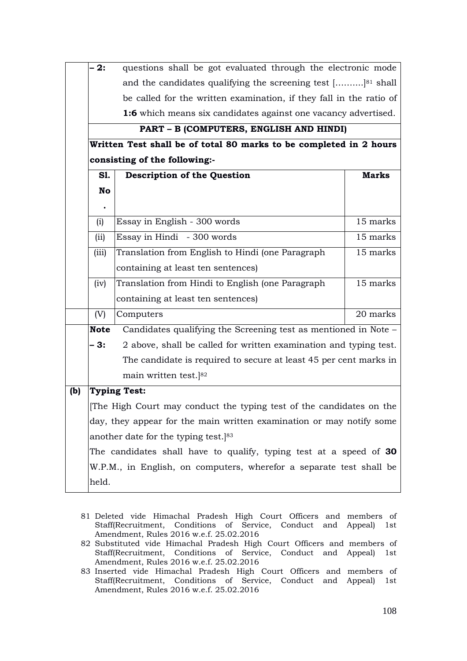|     | 2:                                                                        | questions shall be got evaluated through the electronic mode            |              |  |  |  |
|-----|---------------------------------------------------------------------------|-------------------------------------------------------------------------|--------------|--|--|--|
|     |                                                                           | and the candidates qualifying the screening test [] <sup>81</sup> shall |              |  |  |  |
|     | be called for the written examination, if they fall in the ratio of       |                                                                         |              |  |  |  |
|     |                                                                           | <b>1:6</b> which means six candidates against one vacancy advertised.   |              |  |  |  |
|     |                                                                           | PART - B (COMPUTERS, ENGLISH AND HINDI)                                 |              |  |  |  |
|     | Written Test shall be of total 80 marks to be completed in 2 hours        |                                                                         |              |  |  |  |
|     | consisting of the following:-                                             |                                                                         |              |  |  |  |
|     | S1.                                                                       | <b>Description of the Question</b>                                      | <b>Marks</b> |  |  |  |
|     | No                                                                        |                                                                         |              |  |  |  |
|     | $\bullet$                                                                 |                                                                         |              |  |  |  |
|     | (i)                                                                       | Essay in English - 300 words                                            | 15 marks     |  |  |  |
|     | (ii)                                                                      | Essay in Hindi - 300 words                                              | 15 marks     |  |  |  |
|     | (iii)                                                                     | Translation from English to Hindi (one Paragraph                        | 15 marks     |  |  |  |
|     |                                                                           | containing at least ten sentences)                                      |              |  |  |  |
|     | (iv)                                                                      | Translation from Hindi to English (one Paragraph                        | 15 marks     |  |  |  |
|     |                                                                           | containing at least ten sentences)                                      |              |  |  |  |
|     | (V)                                                                       | Computers                                                               | 20 marks     |  |  |  |
|     | <b>Note</b>                                                               | Candidates qualifying the Screening test as mentioned in Note -         |              |  |  |  |
|     | - 3:<br>2 above, shall be called for written examination and typing test. |                                                                         |              |  |  |  |
|     |                                                                           | The candidate is required to secure at least 45 per cent marks in       |              |  |  |  |
|     |                                                                           | main written test.]82                                                   |              |  |  |  |
| (b) |                                                                           | <b>Typing Test:</b>                                                     |              |  |  |  |
|     |                                                                           | The High Court may conduct the typing test of the candidates on the     |              |  |  |  |
|     |                                                                           | day, they appear for the main written examination or may notify some    |              |  |  |  |
|     |                                                                           | another date for the typing test. <sup>[83</sup> ]                      |              |  |  |  |
|     |                                                                           | The candidates shall have to qualify, typing test at a speed of 30      |              |  |  |  |
|     |                                                                           | W.P.M., in English, on computers, wherefor a separate test shall be     |              |  |  |  |
|     | held.                                                                     |                                                                         |              |  |  |  |

- 81 Deleted vide Himachal Pradesh High Court Officers and members of Staff(Recruitment, Conditions of Service, Conduct and Appeal) 1st Amendment, Rules 2016 w.e.f. 25.02.2016
- 82 Substituted vide Himachal Pradesh High Court Officers and members of Staff(Recruitment, Conditions of Service, Conduct and Appeal) 1st Amendment, Rules 2016 w.e.f. 25.02.2016
- 83 Inserted vide Himachal Pradesh High Court Officers and members of Staff(Recruitment, Conditions of Service, Conduct and Appeal) 1st Amendment, Rules 2016 w.e.f. 25.02.2016